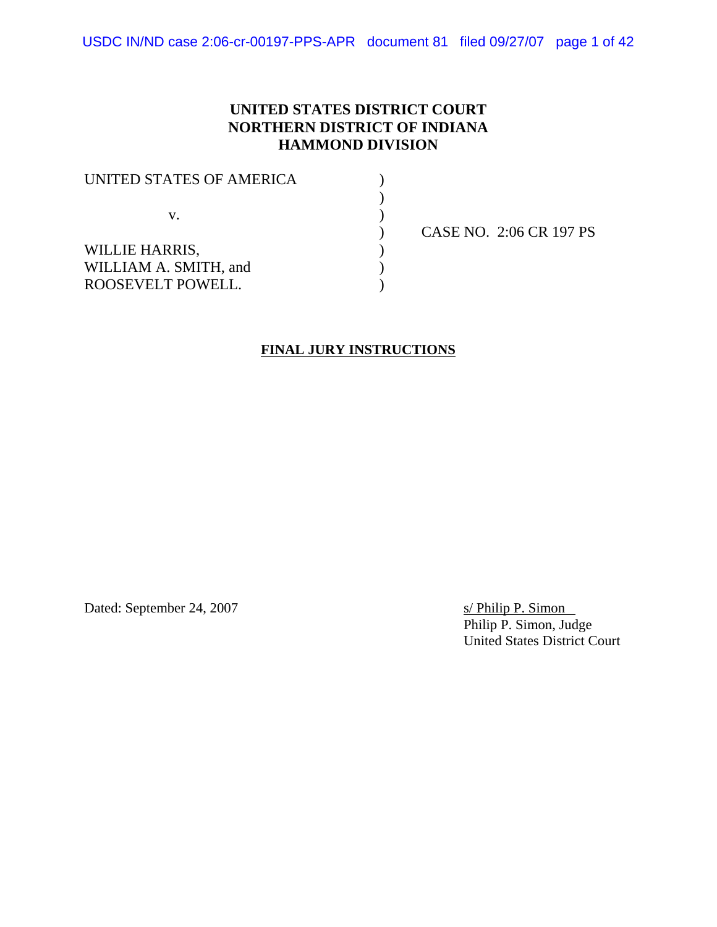# **UNITED STATES DISTRICT COURT NORTHERN DISTRICT OF INDIANA HAMMOND DIVISION**

| <b>CASE</b> |
|-------------|
|             |
|             |
|             |
|             |

) CASE NO. 2:06 CR 197 PS

# **FINAL JURY INSTRUCTIONS**

Dated: September 24, 2007 s/ Philip P. Simon

Philip P. Simon, Judge United States District Court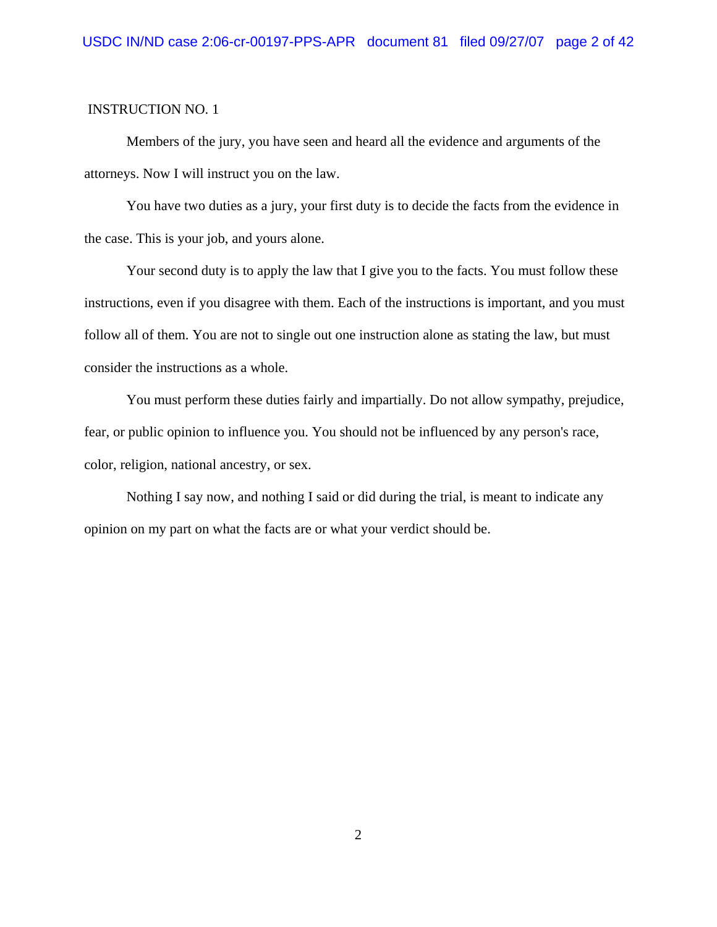Members of the jury, you have seen and heard all the evidence and arguments of the attorneys. Now I will instruct you on the law.

You have two duties as a jury, your first duty is to decide the facts from the evidence in the case. This is your job, and yours alone.

Your second duty is to apply the law that I give you to the facts. You must follow these instructions, even if you disagree with them. Each of the instructions is important, and you must follow all of them. You are not to single out one instruction alone as stating the law, but must consider the instructions as a whole.

You must perform these duties fairly and impartially. Do not allow sympathy, prejudice, fear, or public opinion to influence you. You should not be influenced by any person's race, color, religion, national ancestry, or sex.

Nothing I say now, and nothing I said or did during the trial, is meant to indicate any opinion on my part on what the facts are or what your verdict should be.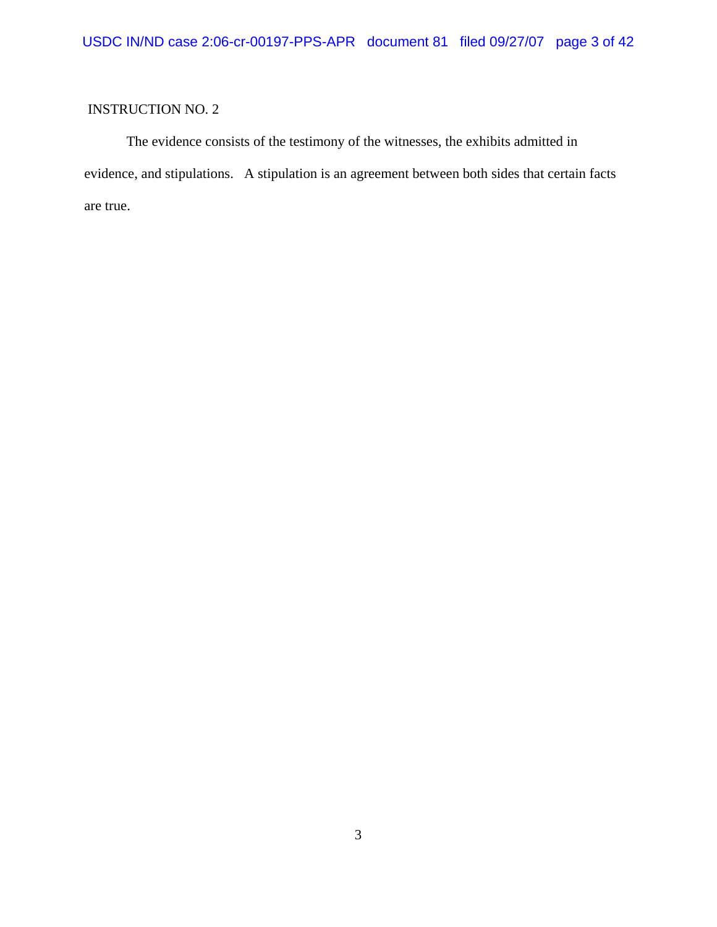The evidence consists of the testimony of the witnesses, the exhibits admitted in evidence, and stipulations. A stipulation is an agreement between both sides that certain facts are true.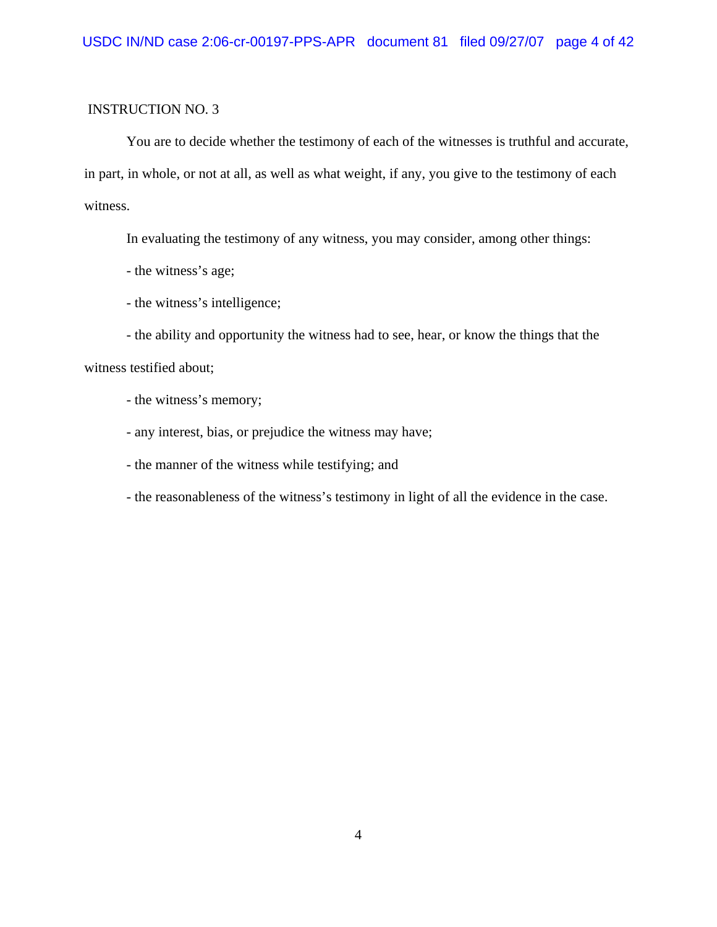You are to decide whether the testimony of each of the witnesses is truthful and accurate, in part, in whole, or not at all, as well as what weight, if any, you give to the testimony of each witness.

In evaluating the testimony of any witness, you may consider, among other things:

- the witness's age;
- the witness's intelligence;

- the ability and opportunity the witness had to see, hear, or know the things that the witness testified about;

- the witness's memory;

- any interest, bias, or prejudice the witness may have;
- the manner of the witness while testifying; and
- the reasonableness of the witness's testimony in light of all the evidence in the case.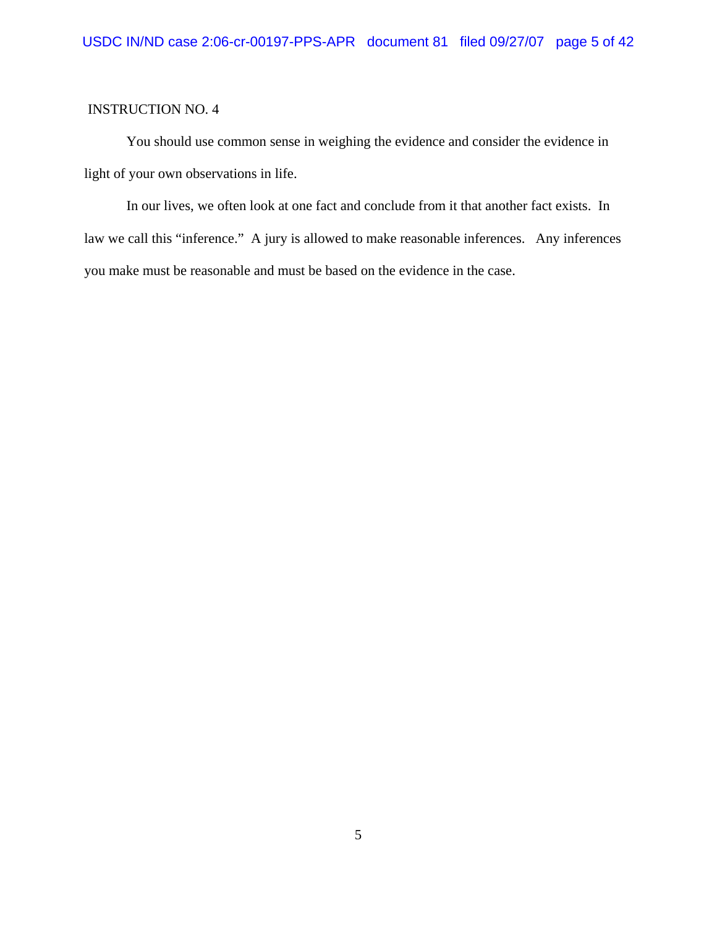You should use common sense in weighing the evidence and consider the evidence in light of your own observations in life.

In our lives, we often look at one fact and conclude from it that another fact exists. In law we call this "inference." A jury is allowed to make reasonable inferences. Any inferences you make must be reasonable and must be based on the evidence in the case.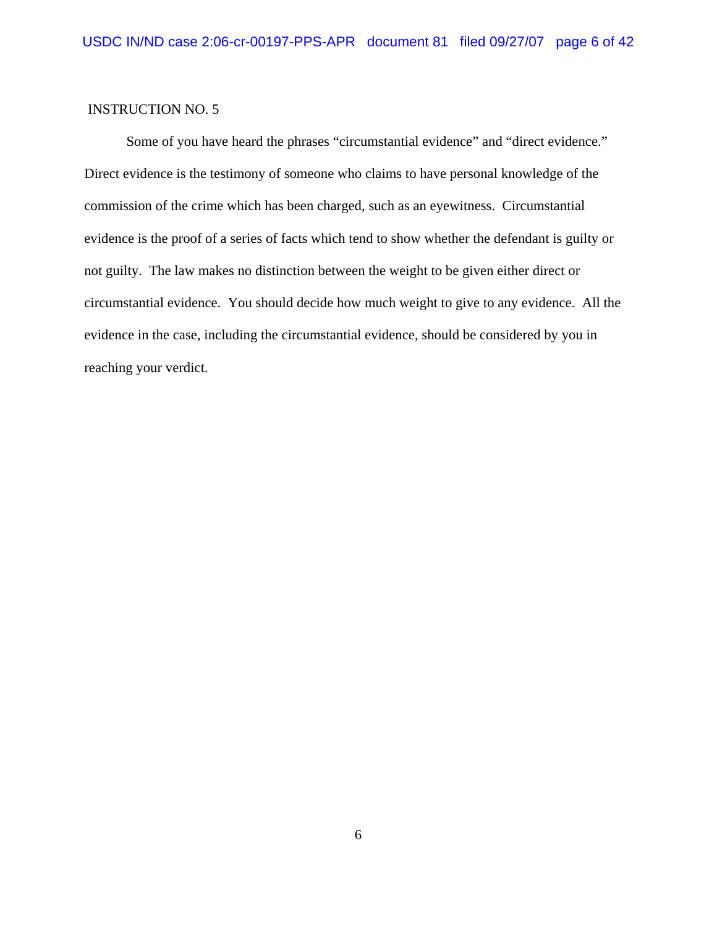Some of you have heard the phrases "circumstantial evidence" and "direct evidence." Direct evidence is the testimony of someone who claims to have personal knowledge of the commission of the crime which has been charged, such as an eyewitness. Circumstantial evidence is the proof of a series of facts which tend to show whether the defendant is guilty or not guilty. The law makes no distinction between the weight to be given either direct or circumstantial evidence. You should decide how much weight to give to any evidence. All the evidence in the case, including the circumstantial evidence, should be considered by you in reaching your verdict.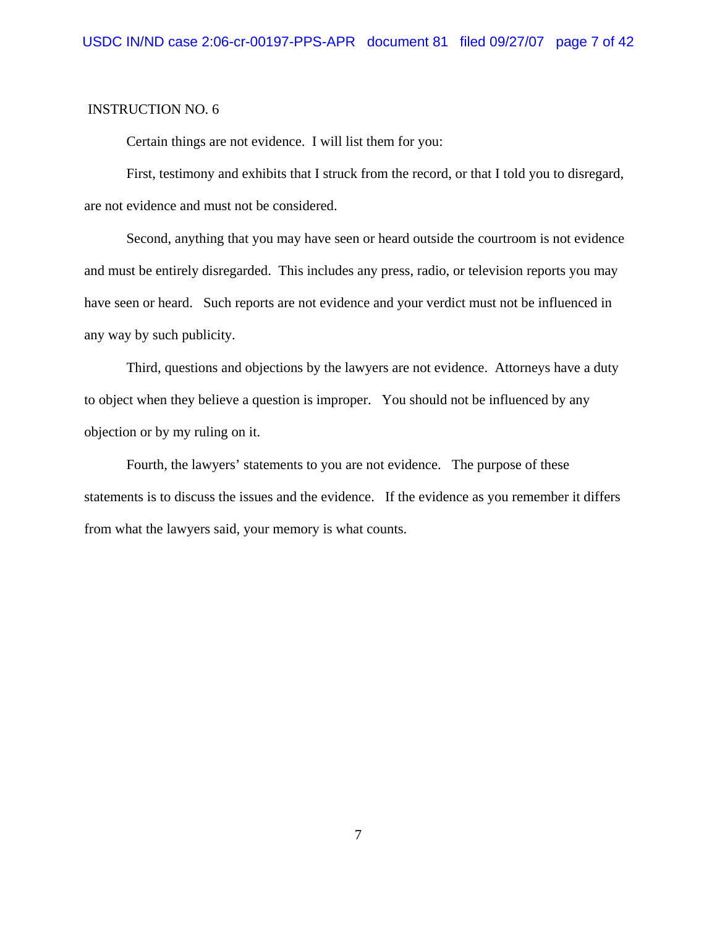Certain things are not evidence. I will list them for you:

First, testimony and exhibits that I struck from the record, or that I told you to disregard, are not evidence and must not be considered.

Second, anything that you may have seen or heard outside the courtroom is not evidence and must be entirely disregarded. This includes any press, radio, or television reports you may have seen or heard. Such reports are not evidence and your verdict must not be influenced in any way by such publicity.

Third, questions and objections by the lawyers are not evidence. Attorneys have a duty to object when they believe a question is improper. You should not be influenced by any objection or by my ruling on it.

Fourth, the lawyers' statements to you are not evidence. The purpose of these statements is to discuss the issues and the evidence. If the evidence as you remember it differs from what the lawyers said, your memory is what counts.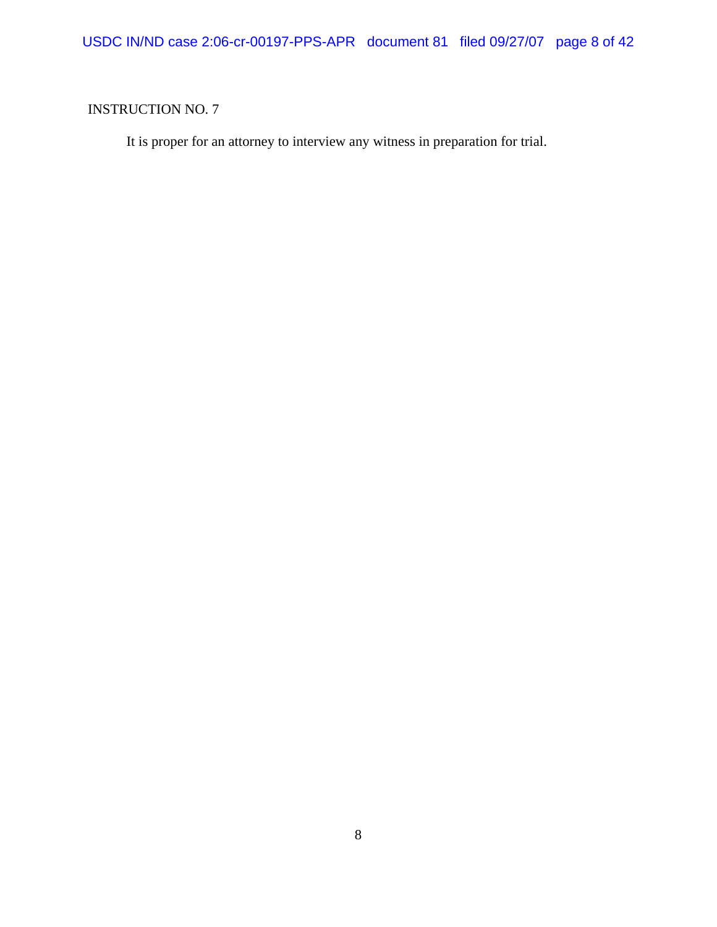It is proper for an attorney to interview any witness in preparation for trial.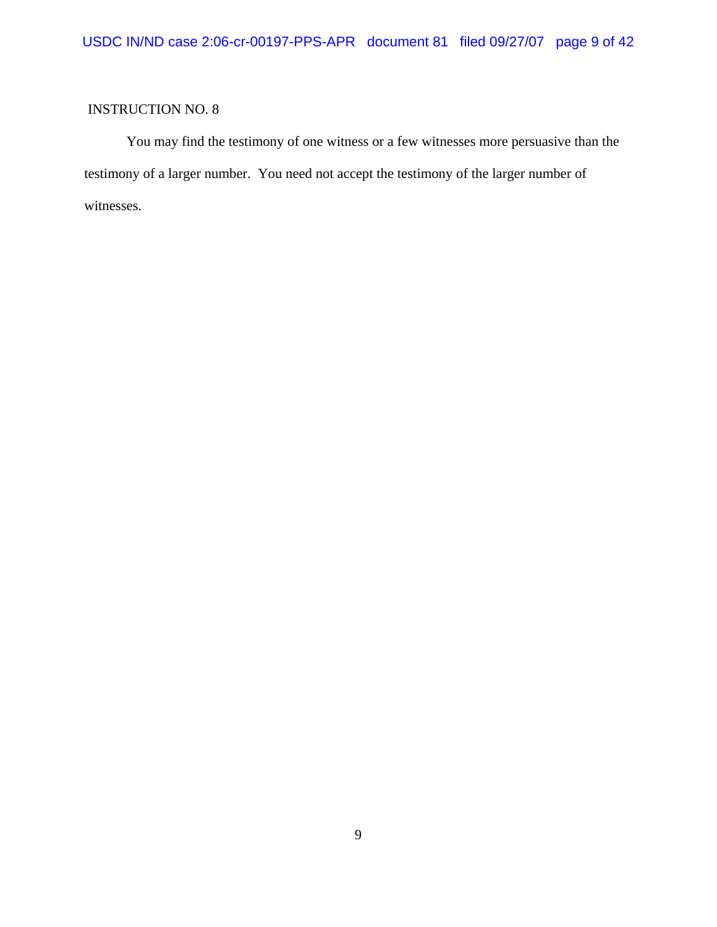You may find the testimony of one witness or a few witnesses more persuasive than the testimony of a larger number. You need not accept the testimony of the larger number of witnesses.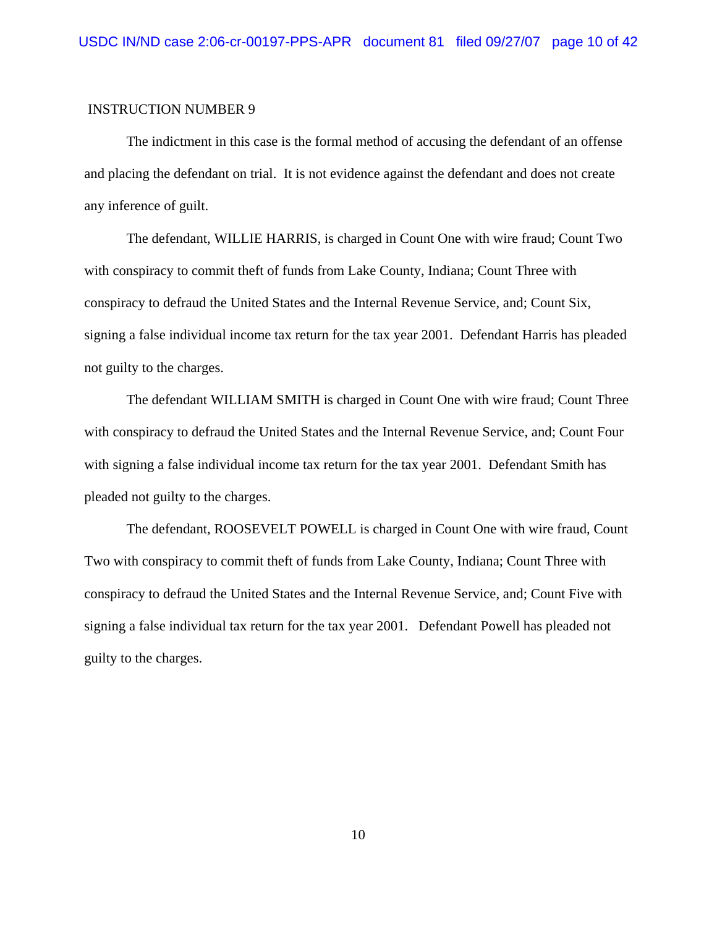### INSTRUCTION NUMBER 9

The indictment in this case is the formal method of accusing the defendant of an offense and placing the defendant on trial. It is not evidence against the defendant and does not create any inference of guilt.

The defendant, WILLIE HARRIS, is charged in Count One with wire fraud; Count Two with conspiracy to commit theft of funds from Lake County, Indiana; Count Three with conspiracy to defraud the United States and the Internal Revenue Service, and; Count Six, signing a false individual income tax return for the tax year 2001. Defendant Harris has pleaded not guilty to the charges.

The defendant WILLIAM SMITH is charged in Count One with wire fraud; Count Three with conspiracy to defraud the United States and the Internal Revenue Service, and; Count Four with signing a false individual income tax return for the tax year 2001. Defendant Smith has pleaded not guilty to the charges.

The defendant, ROOSEVELT POWELL is charged in Count One with wire fraud, Count Two with conspiracy to commit theft of funds from Lake County, Indiana; Count Three with conspiracy to defraud the United States and the Internal Revenue Service, and; Count Five with signing a false individual tax return for the tax year 2001. Defendant Powell has pleaded not guilty to the charges.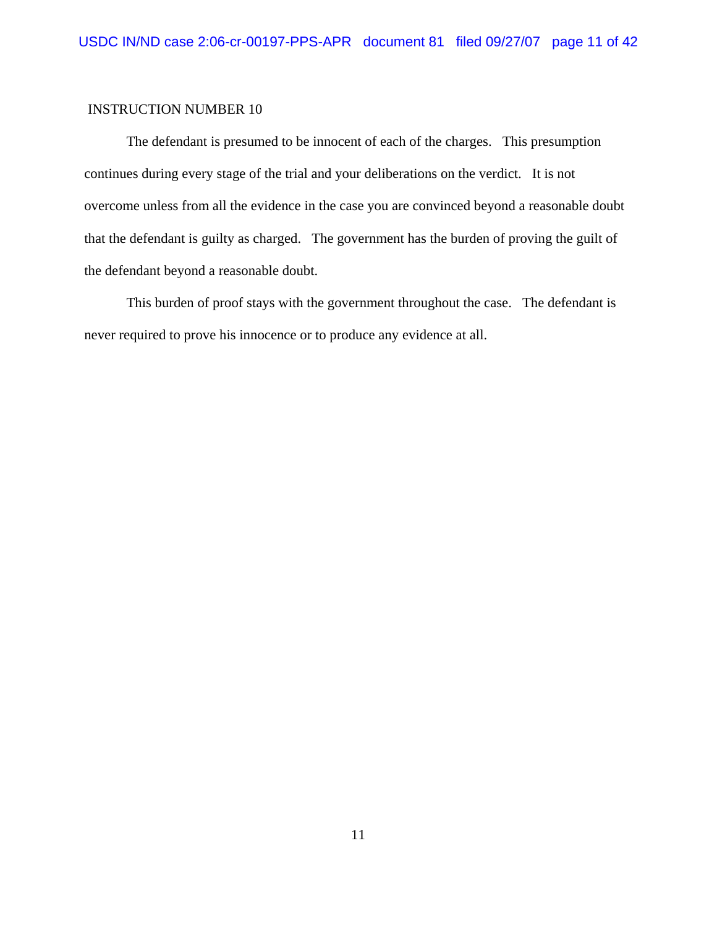### INSTRUCTION NUMBER 10

The defendant is presumed to be innocent of each of the charges. This presumption continues during every stage of the trial and your deliberations on the verdict. It is not overcome unless from all the evidence in the case you are convinced beyond a reasonable doubt that the defendant is guilty as charged. The government has the burden of proving the guilt of the defendant beyond a reasonable doubt.

This burden of proof stays with the government throughout the case. The defendant is never required to prove his innocence or to produce any evidence at all.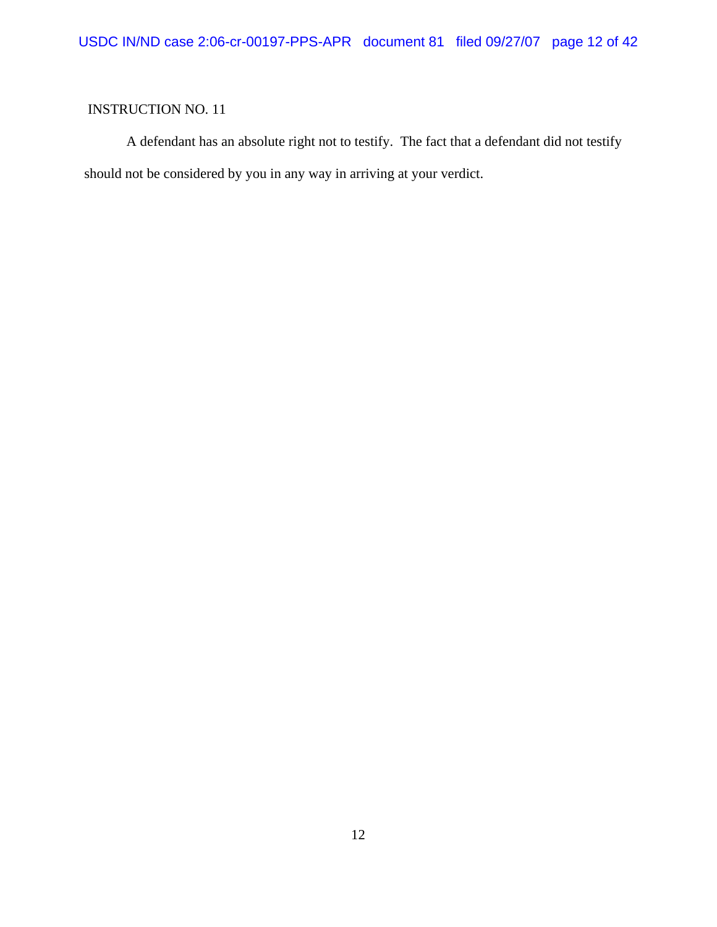A defendant has an absolute right not to testify. The fact that a defendant did not testify should not be considered by you in any way in arriving at your verdict.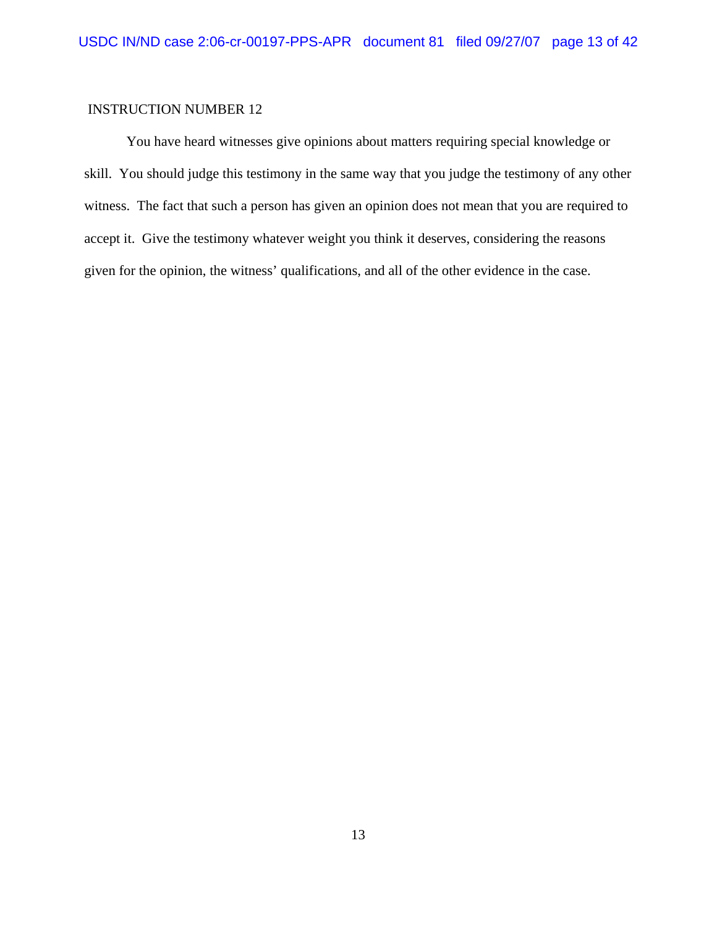### INSTRUCTION NUMBER 12

You have heard witnesses give opinions about matters requiring special knowledge or skill. You should judge this testimony in the same way that you judge the testimony of any other witness. The fact that such a person has given an opinion does not mean that you are required to accept it. Give the testimony whatever weight you think it deserves, considering the reasons given for the opinion, the witness' qualifications, and all of the other evidence in the case.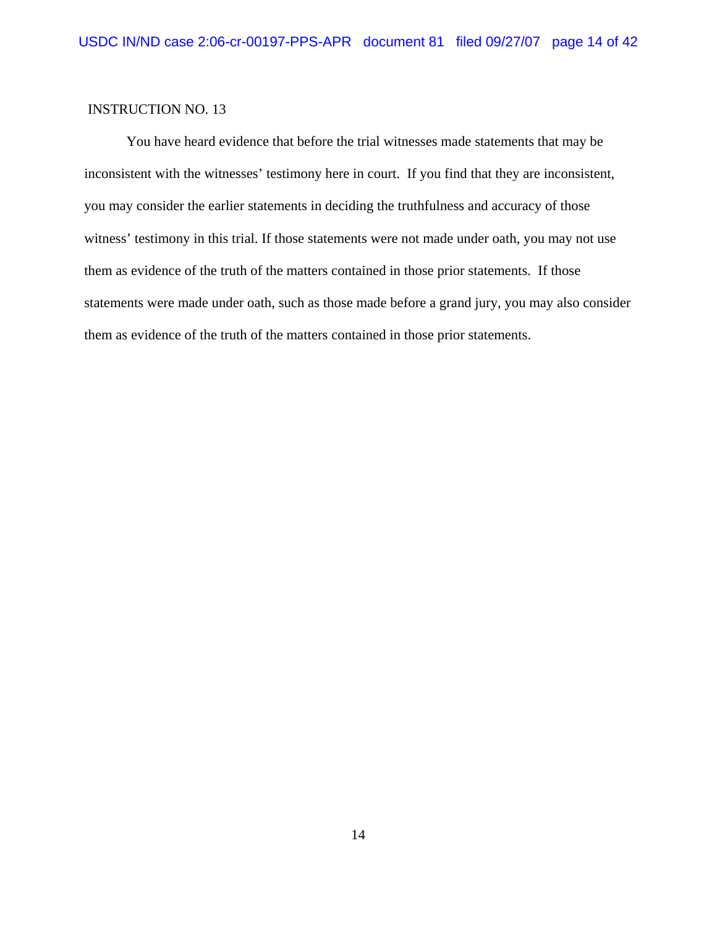You have heard evidence that before the trial witnesses made statements that may be inconsistent with the witnesses' testimony here in court. If you find that they are inconsistent, you may consider the earlier statements in deciding the truthfulness and accuracy of those witness' testimony in this trial. If those statements were not made under oath, you may not use them as evidence of the truth of the matters contained in those prior statements. If those statements were made under oath, such as those made before a grand jury, you may also consider them as evidence of the truth of the matters contained in those prior statements.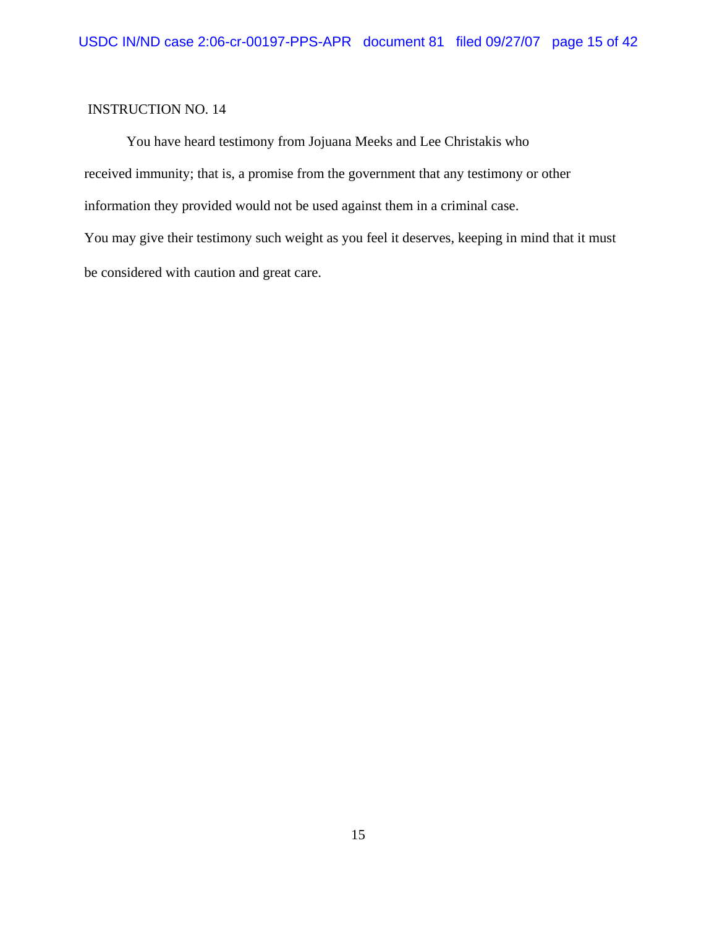You have heard testimony from Jojuana Meeks and Lee Christakis who received immunity; that is, a promise from the government that any testimony or other information they provided would not be used against them in a criminal case. You may give their testimony such weight as you feel it deserves, keeping in mind that it must be considered with caution and great care.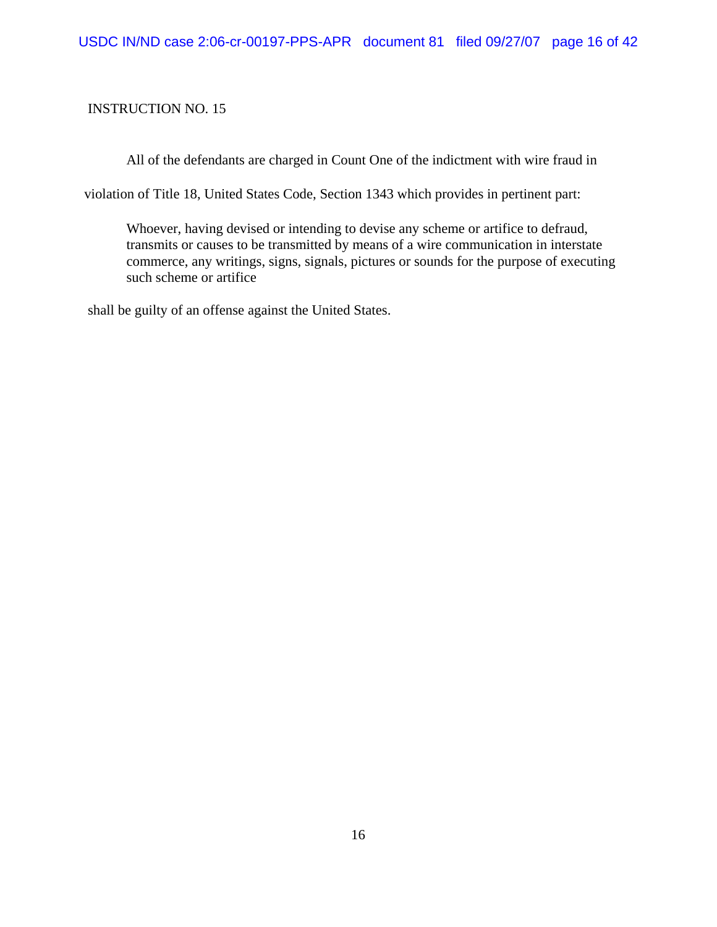All of the defendants are charged in Count One of the indictment with wire fraud in

violation of Title 18, United States Code, Section 1343 which provides in pertinent part:

Whoever, having devised or intending to devise any scheme or artifice to defraud, transmits or causes to be transmitted by means of a wire communication in interstate commerce, any writings, signs, signals, pictures or sounds for the purpose of executing such scheme or artifice

shall be guilty of an offense against the United States.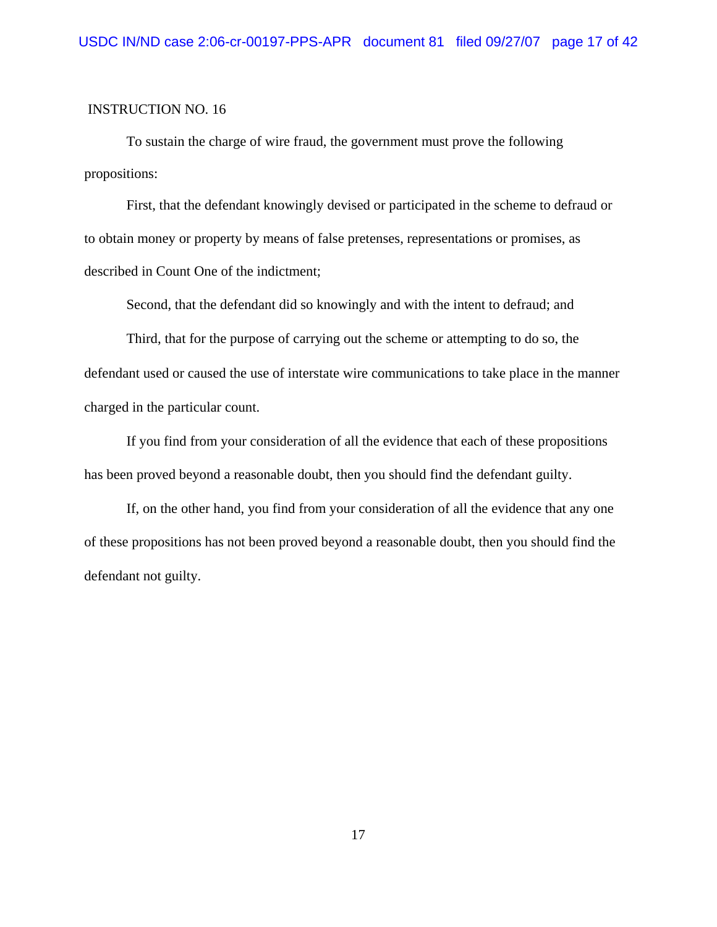To sustain the charge of wire fraud, the government must prove the following propositions:

First, that the defendant knowingly devised or participated in the scheme to defraud or to obtain money or property by means of false pretenses, representations or promises, as described in Count One of the indictment;

Second, that the defendant did so knowingly and with the intent to defraud; and

Third, that for the purpose of carrying out the scheme or attempting to do so, the defendant used or caused the use of interstate wire communications to take place in the manner charged in the particular count.

If you find from your consideration of all the evidence that each of these propositions has been proved beyond a reasonable doubt, then you should find the defendant guilty.

If, on the other hand, you find from your consideration of all the evidence that any one of these propositions has not been proved beyond a reasonable doubt, then you should find the defendant not guilty.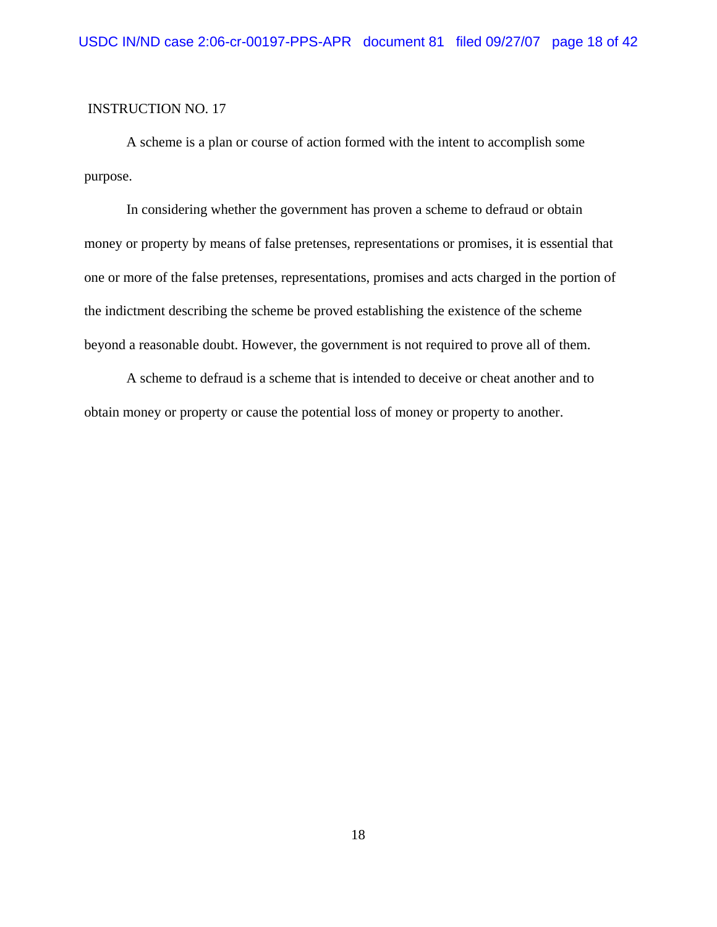A scheme is a plan or course of action formed with the intent to accomplish some purpose.

In considering whether the government has proven a scheme to defraud or obtain money or property by means of false pretenses, representations or promises, it is essential that one or more of the false pretenses, representations, promises and acts charged in the portion of the indictment describing the scheme be proved establishing the existence of the scheme beyond a reasonable doubt. However, the government is not required to prove all of them.

A scheme to defraud is a scheme that is intended to deceive or cheat another and to obtain money or property or cause the potential loss of money or property to another.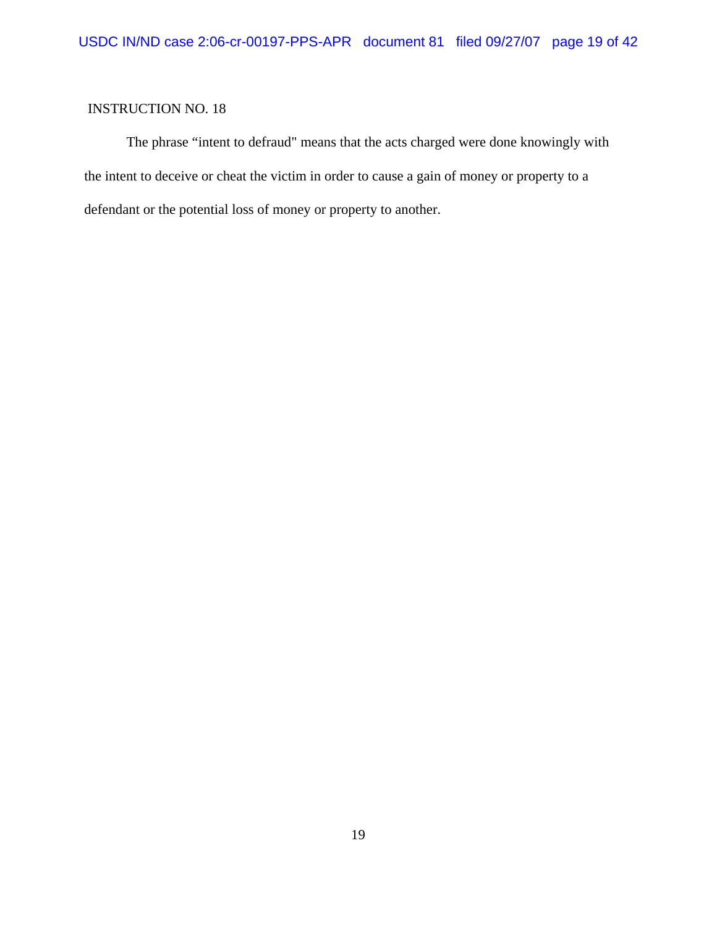The phrase "intent to defraud" means that the acts charged were done knowingly with the intent to deceive or cheat the victim in order to cause a gain of money or property to a defendant or the potential loss of money or property to another.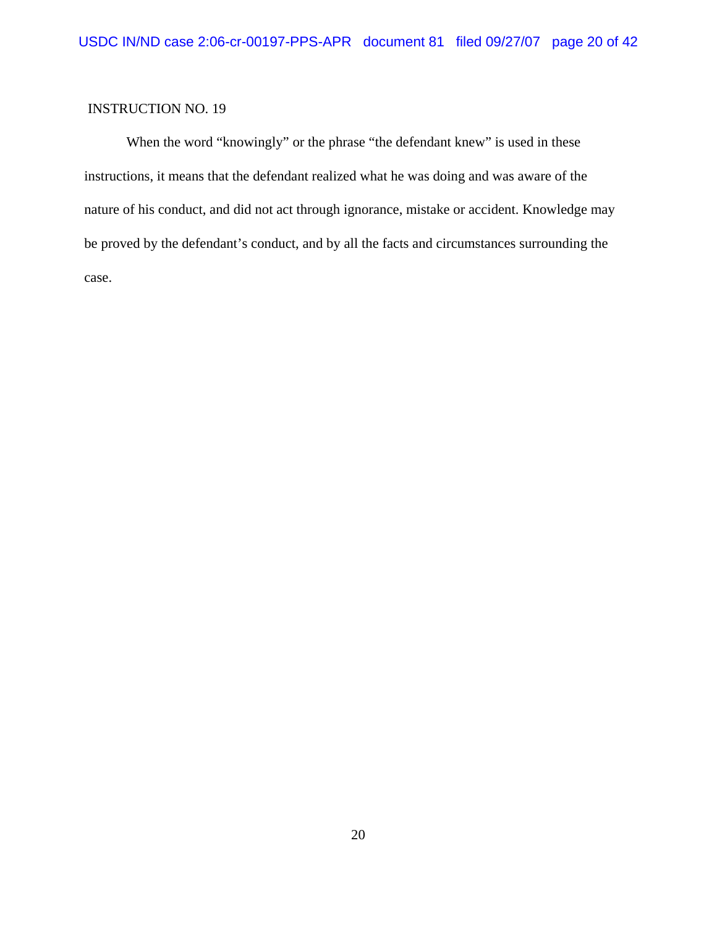When the word "knowingly" or the phrase "the defendant knew" is used in these instructions, it means that the defendant realized what he was doing and was aware of the nature of his conduct, and did not act through ignorance, mistake or accident. Knowledge may be proved by the defendant's conduct, and by all the facts and circumstances surrounding the case.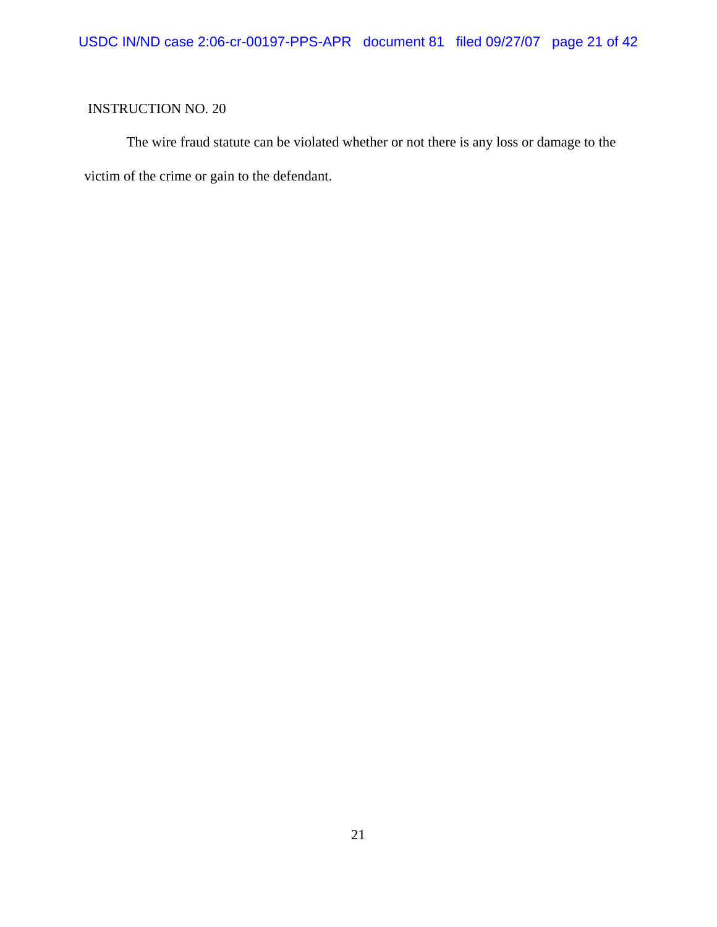The wire fraud statute can be violated whether or not there is any loss or damage to the victim of the crime or gain to the defendant.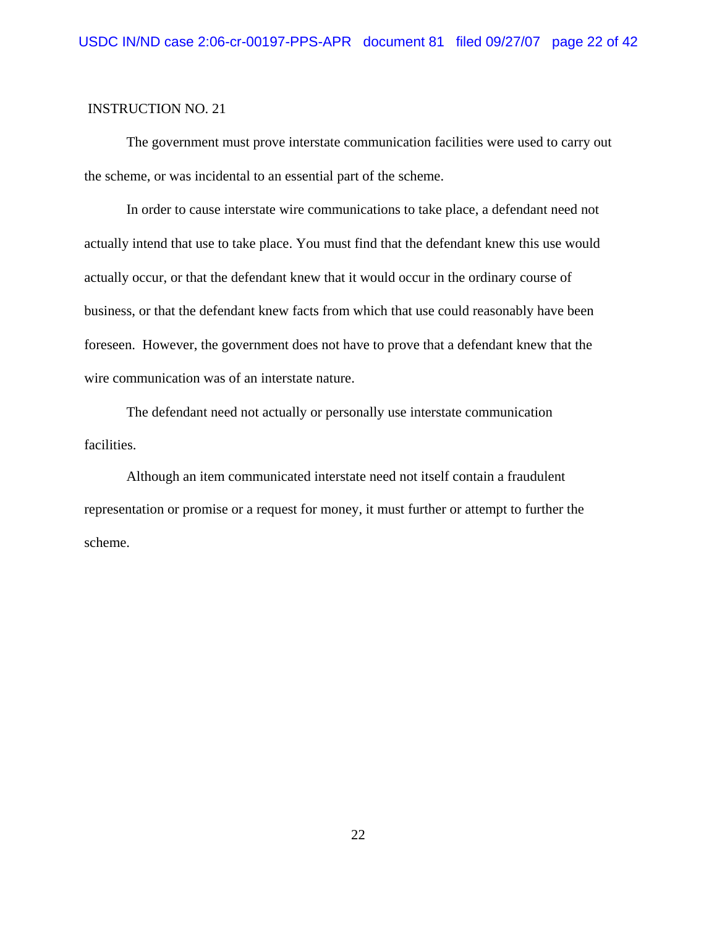The government must prove interstate communication facilities were used to carry out the scheme, or was incidental to an essential part of the scheme.

In order to cause interstate wire communications to take place, a defendant need not actually intend that use to take place. You must find that the defendant knew this use would actually occur, or that the defendant knew that it would occur in the ordinary course of business, or that the defendant knew facts from which that use could reasonably have been foreseen. However, the government does not have to prove that a defendant knew that the wire communication was of an interstate nature.

The defendant need not actually or personally use interstate communication facilities.

Although an item communicated interstate need not itself contain a fraudulent representation or promise or a request for money, it must further or attempt to further the scheme.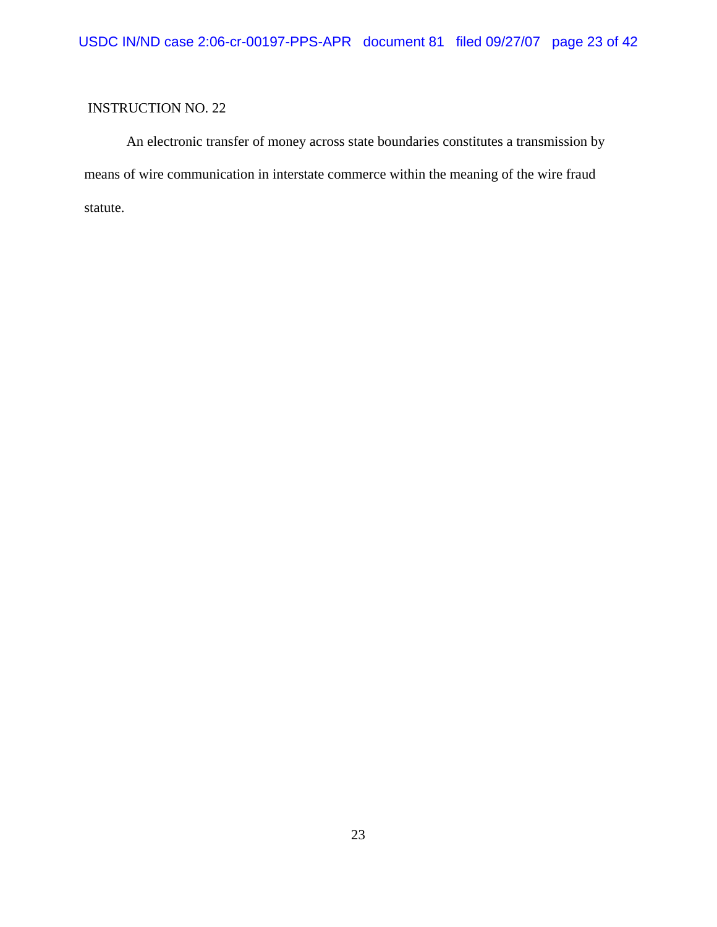An electronic transfer of money across state boundaries constitutes a transmission by means of wire communication in interstate commerce within the meaning of the wire fraud statute.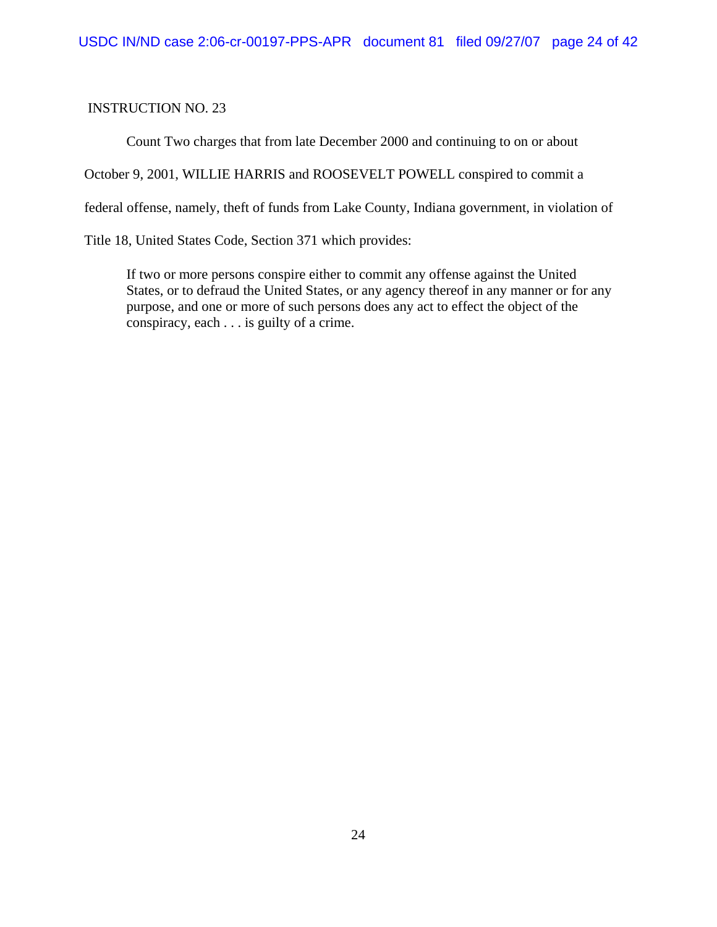Count Two charges that from late December 2000 and continuing to on or about

October 9, 2001, WILLIE HARRIS and ROOSEVELT POWELL conspired to commit a

federal offense, namely, theft of funds from Lake County, Indiana government, in violation of

Title 18, United States Code, Section 371 which provides:

If two or more persons conspire either to commit any offense against the United States, or to defraud the United States, or any agency thereof in any manner or for any purpose, and one or more of such persons does any act to effect the object of the conspiracy, each . . . is guilty of a crime.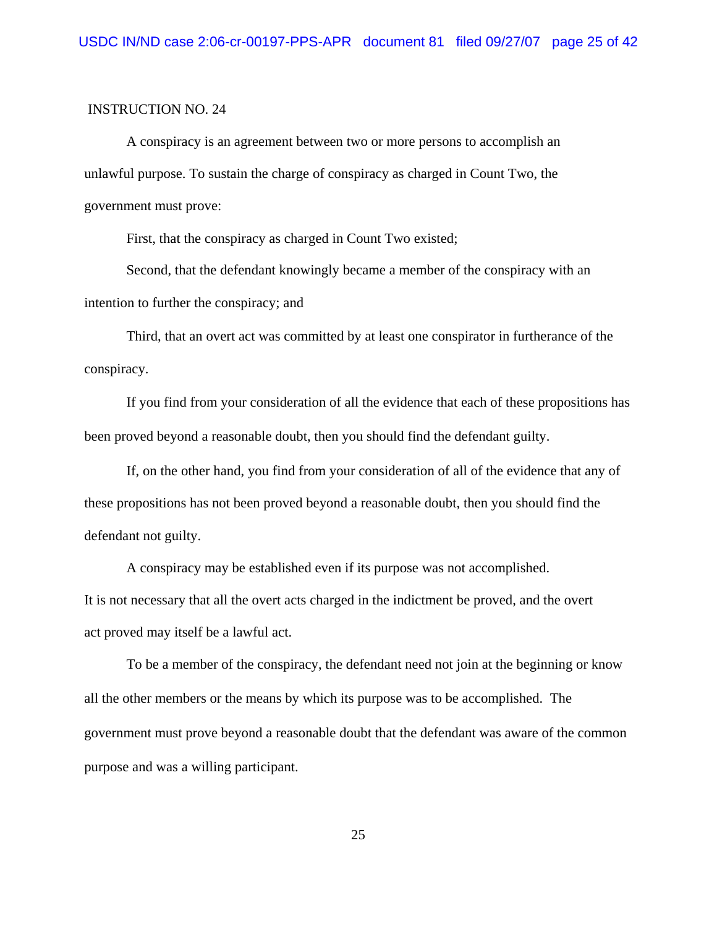A conspiracy is an agreement between two or more persons to accomplish an unlawful purpose. To sustain the charge of conspiracy as charged in Count Two, the government must prove:

First, that the conspiracy as charged in Count Two existed;

Second, that the defendant knowingly became a member of the conspiracy with an intention to further the conspiracy; and

Third, that an overt act was committed by at least one conspirator in furtherance of the conspiracy.

If you find from your consideration of all the evidence that each of these propositions has been proved beyond a reasonable doubt, then you should find the defendant guilty.

If, on the other hand, you find from your consideration of all of the evidence that any of these propositions has not been proved beyond a reasonable doubt, then you should find the defendant not guilty.

A conspiracy may be established even if its purpose was not accomplished. It is not necessary that all the overt acts charged in the indictment be proved, and the overt act proved may itself be a lawful act.

To be a member of the conspiracy, the defendant need not join at the beginning or know all the other members or the means by which its purpose was to be accomplished. The government must prove beyond a reasonable doubt that the defendant was aware of the common purpose and was a willing participant.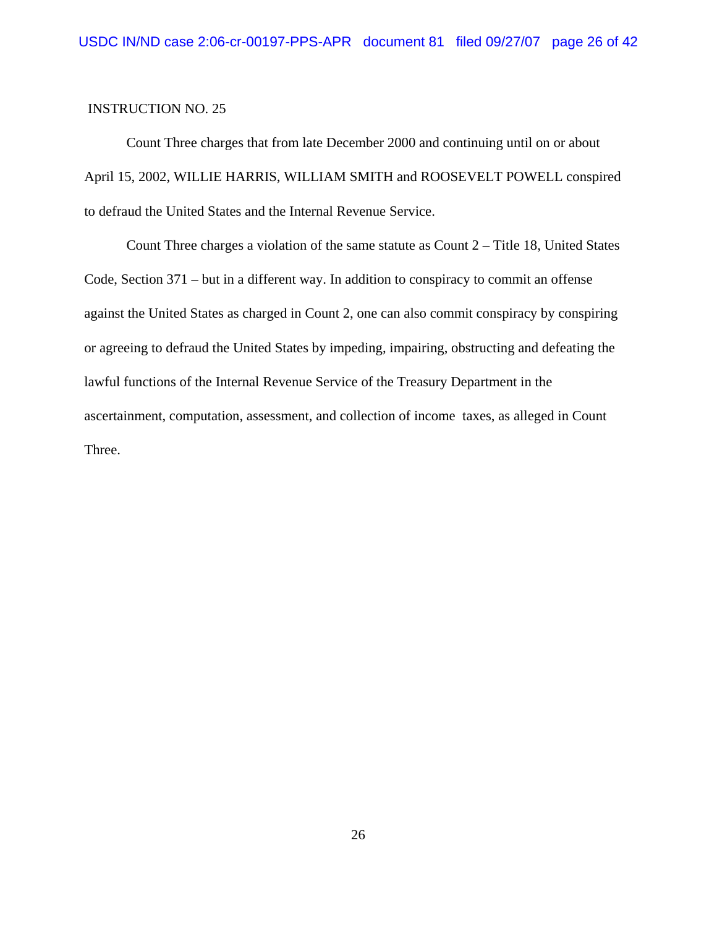Count Three charges that from late December 2000 and continuing until on or about April 15, 2002, WILLIE HARRIS, WILLIAM SMITH and ROOSEVELT POWELL conspired to defraud the United States and the Internal Revenue Service.

Count Three charges a violation of the same statute as Count 2 – Title 18, United States Code, Section 371 – but in a different way. In addition to conspiracy to commit an offense against the United States as charged in Count 2, one can also commit conspiracy by conspiring or agreeing to defraud the United States by impeding, impairing, obstructing and defeating the lawful functions of the Internal Revenue Service of the Treasury Department in the ascertainment, computation, assessment, and collection of income taxes, as alleged in Count Three.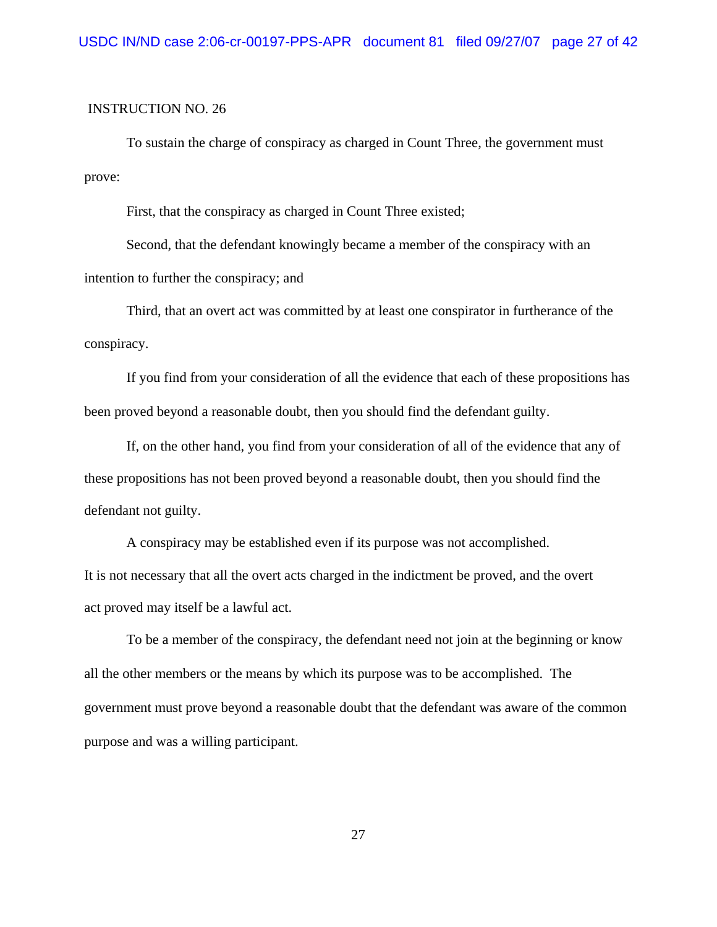To sustain the charge of conspiracy as charged in Count Three, the government must prove:

First, that the conspiracy as charged in Count Three existed;

Second, that the defendant knowingly became a member of the conspiracy with an intention to further the conspiracy; and

Third, that an overt act was committed by at least one conspirator in furtherance of the conspiracy.

If you find from your consideration of all the evidence that each of these propositions has been proved beyond a reasonable doubt, then you should find the defendant guilty.

If, on the other hand, you find from your consideration of all of the evidence that any of these propositions has not been proved beyond a reasonable doubt, then you should find the defendant not guilty.

A conspiracy may be established even if its purpose was not accomplished. It is not necessary that all the overt acts charged in the indictment be proved, and the overt act proved may itself be a lawful act.

To be a member of the conspiracy, the defendant need not join at the beginning or know all the other members or the means by which its purpose was to be accomplished. The government must prove beyond a reasonable doubt that the defendant was aware of the common purpose and was a willing participant.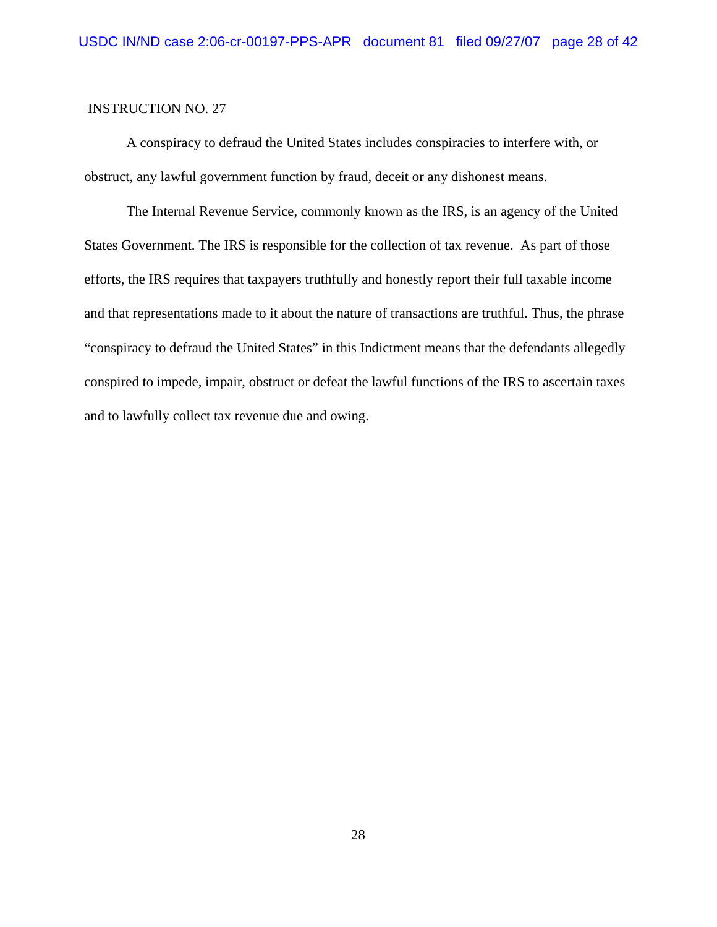A conspiracy to defraud the United States includes conspiracies to interfere with, or obstruct, any lawful government function by fraud, deceit or any dishonest means.

The Internal Revenue Service, commonly known as the IRS, is an agency of the United States Government. The IRS is responsible for the collection of tax revenue. As part of those efforts, the IRS requires that taxpayers truthfully and honestly report their full taxable income and that representations made to it about the nature of transactions are truthful. Thus, the phrase "conspiracy to defraud the United States" in this Indictment means that the defendants allegedly conspired to impede, impair, obstruct or defeat the lawful functions of the IRS to ascertain taxes and to lawfully collect tax revenue due and owing.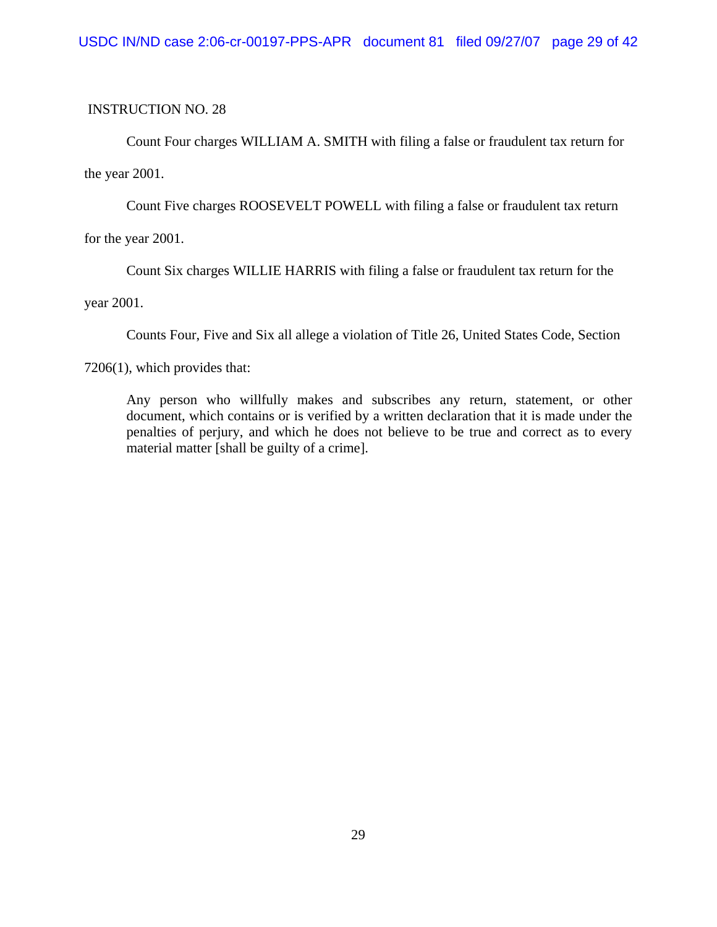Count Four charges WILLIAM A. SMITH with filing a false or fraudulent tax return for the year 2001.

Count Five charges ROOSEVELT POWELL with filing a false or fraudulent tax return

for the year 2001.

Count Six charges WILLIE HARRIS with filing a false or fraudulent tax return for the

year 2001.

Counts Four, Five and Six all allege a violation of Title 26, United States Code, Section

7206(1), which provides that:

Any person who willfully makes and subscribes any return, statement, or other document, which contains or is verified by a written declaration that it is made under the penalties of perjury, and which he does not believe to be true and correct as to every material matter [shall be guilty of a crime].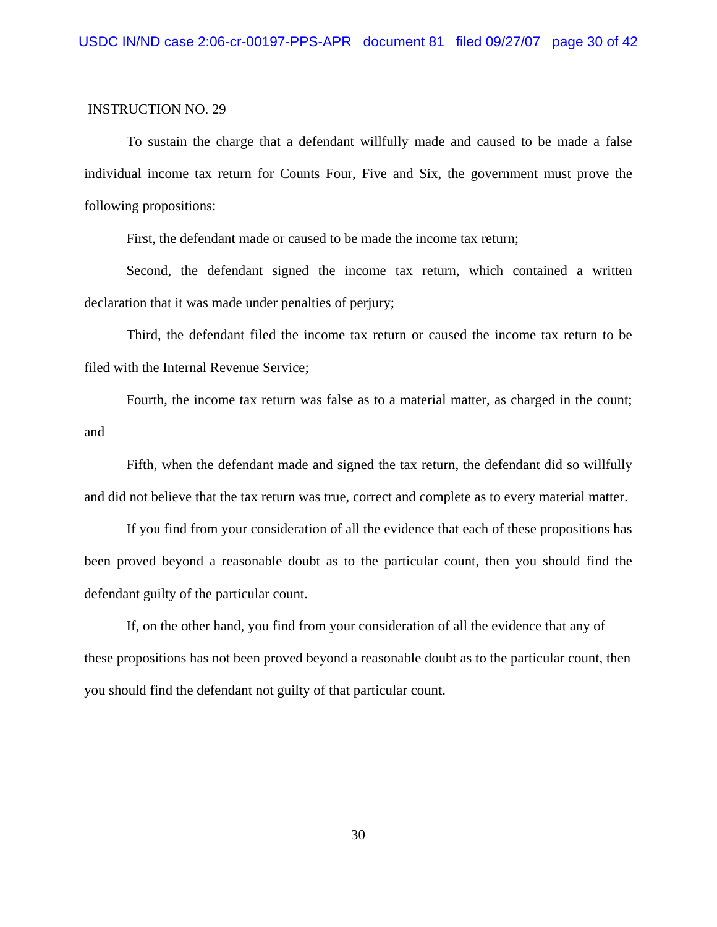To sustain the charge that a defendant willfully made and caused to be made a false individual income tax return for Counts Four, Five and Six, the government must prove the following propositions:

First, the defendant made or caused to be made the income tax return;

Second, the defendant signed the income tax return, which contained a written declaration that it was made under penalties of perjury;

Third, the defendant filed the income tax return or caused the income tax return to be filed with the Internal Revenue Service;

Fourth, the income tax return was false as to a material matter, as charged in the count; and

Fifth, when the defendant made and signed the tax return, the defendant did so willfully and did not believe that the tax return was true, correct and complete as to every material matter.

If you find from your consideration of all the evidence that each of these propositions has been proved beyond a reasonable doubt as to the particular count, then you should find the defendant guilty of the particular count.

If, on the other hand, you find from your consideration of all the evidence that any of these propositions has not been proved beyond a reasonable doubt as to the particular count, then you should find the defendant not guilty of that particular count.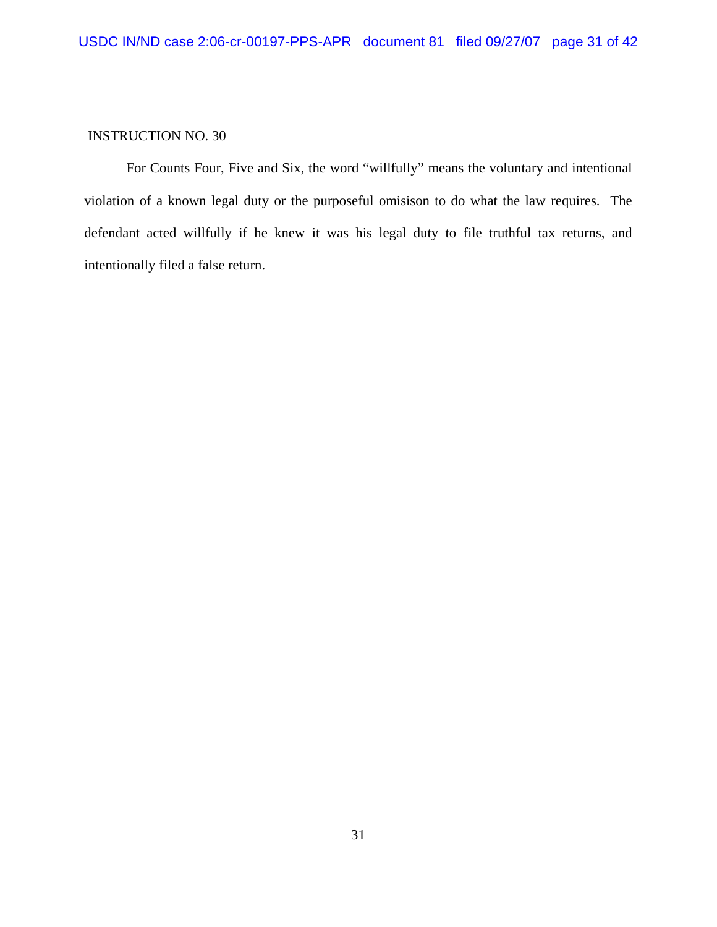For Counts Four, Five and Six, the word "willfully" means the voluntary and intentional violation of a known legal duty or the purposeful omisison to do what the law requires. The defendant acted willfully if he knew it was his legal duty to file truthful tax returns, and intentionally filed a false return.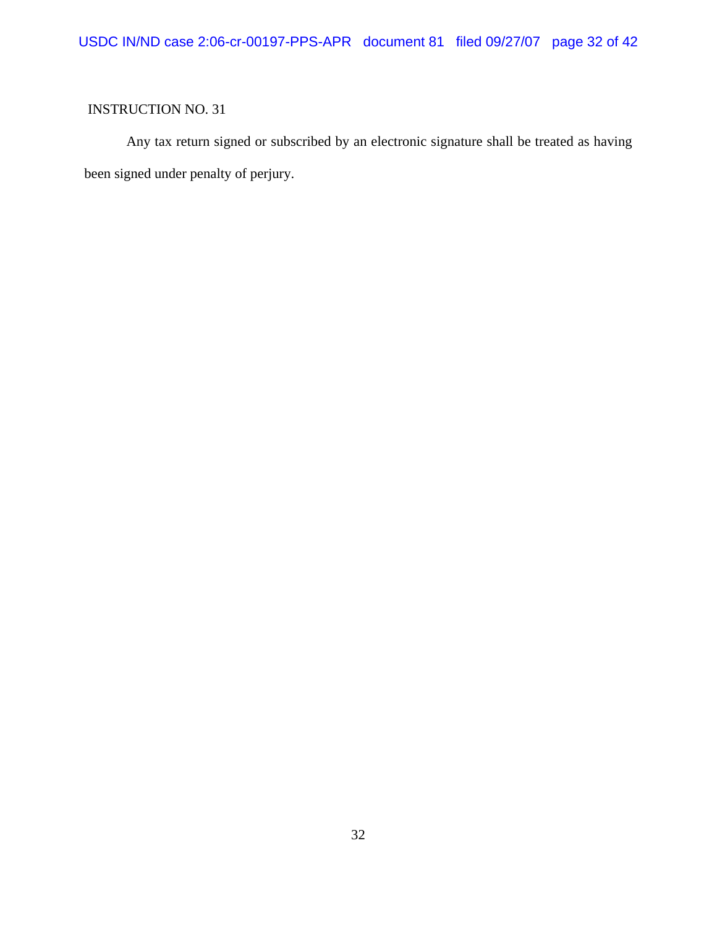Any tax return signed or subscribed by an electronic signature shall be treated as having been signed under penalty of perjury.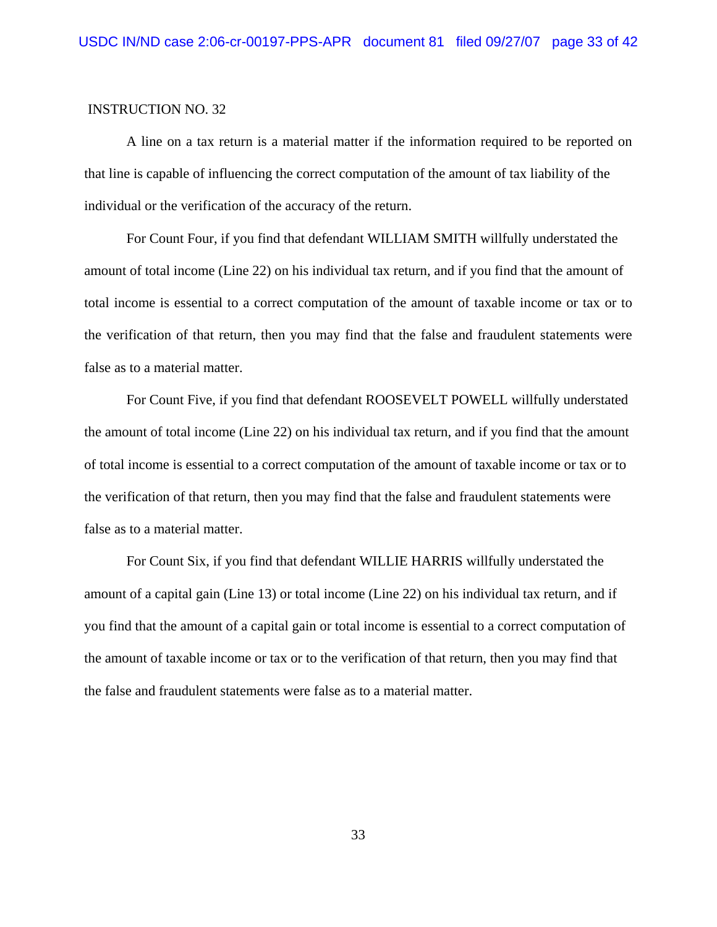A line on a tax return is a material matter if the information required to be reported on that line is capable of influencing the correct computation of the amount of tax liability of the individual or the verification of the accuracy of the return.

For Count Four, if you find that defendant WILLIAM SMITH willfully understated the amount of total income (Line 22) on his individual tax return, and if you find that the amount of total income is essential to a correct computation of the amount of taxable income or tax or to the verification of that return, then you may find that the false and fraudulent statements were false as to a material matter.

For Count Five, if you find that defendant ROOSEVELT POWELL willfully understated the amount of total income (Line 22) on his individual tax return, and if you find that the amount of total income is essential to a correct computation of the amount of taxable income or tax or to the verification of that return, then you may find that the false and fraudulent statements were false as to a material matter.

For Count Six, if you find that defendant WILLIE HARRIS willfully understated the amount of a capital gain (Line 13) or total income (Line 22) on his individual tax return, and if you find that the amount of a capital gain or total income is essential to a correct computation of the amount of taxable income or tax or to the verification of that return, then you may find that the false and fraudulent statements were false as to a material matter.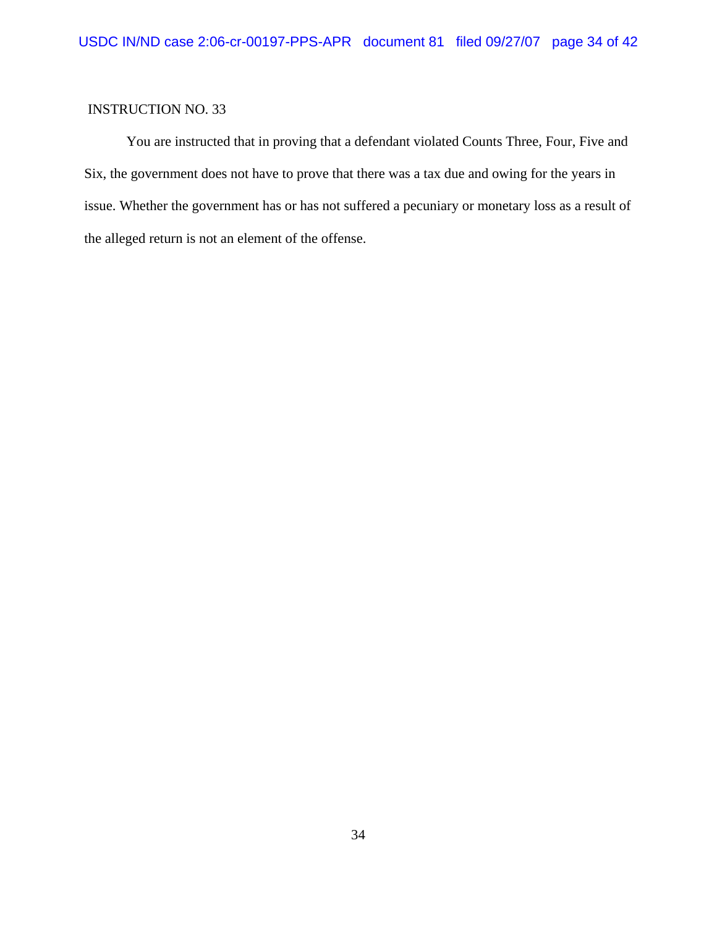You are instructed that in proving that a defendant violated Counts Three, Four, Five and Six, the government does not have to prove that there was a tax due and owing for the years in issue. Whether the government has or has not suffered a pecuniary or monetary loss as a result of the alleged return is not an element of the offense.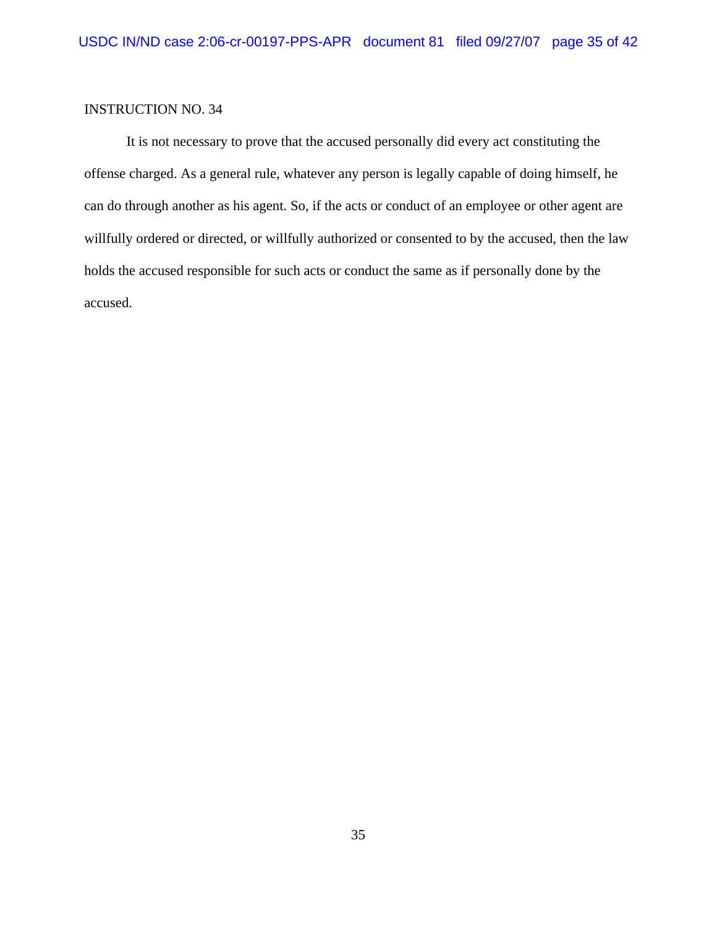It is not necessary to prove that the accused personally did every act constituting the offense charged. As a general rule, whatever any person is legally capable of doing himself, he can do through another as his agent. So, if the acts or conduct of an employee or other agent are willfully ordered or directed, or willfully authorized or consented to by the accused, then the law holds the accused responsible for such acts or conduct the same as if personally done by the accused.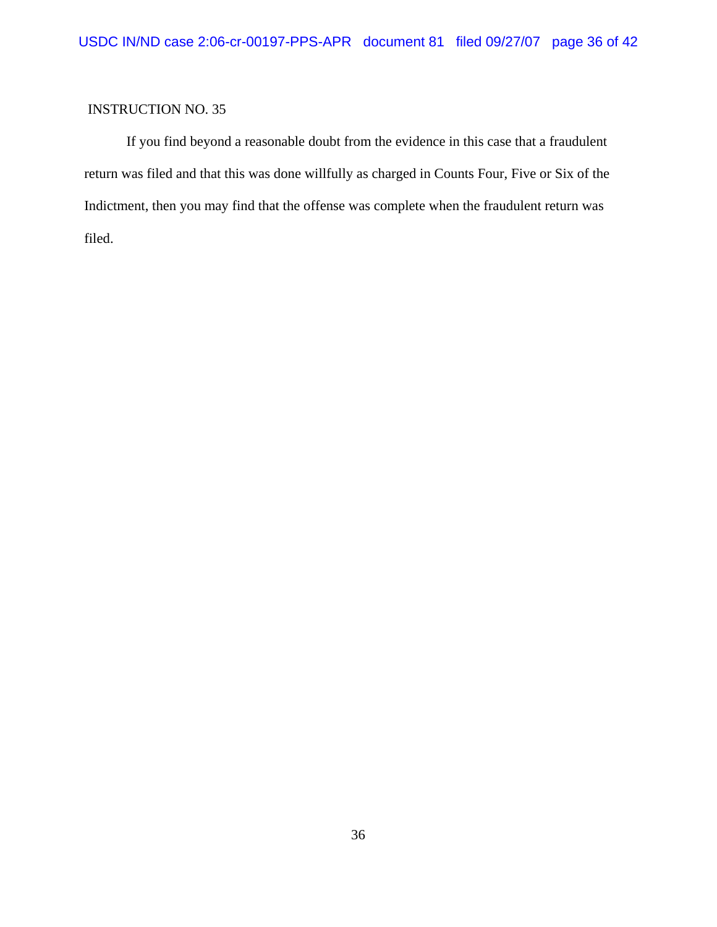If you find beyond a reasonable doubt from the evidence in this case that a fraudulent return was filed and that this was done willfully as charged in Counts Four, Five or Six of the Indictment, then you may find that the offense was complete when the fraudulent return was filed.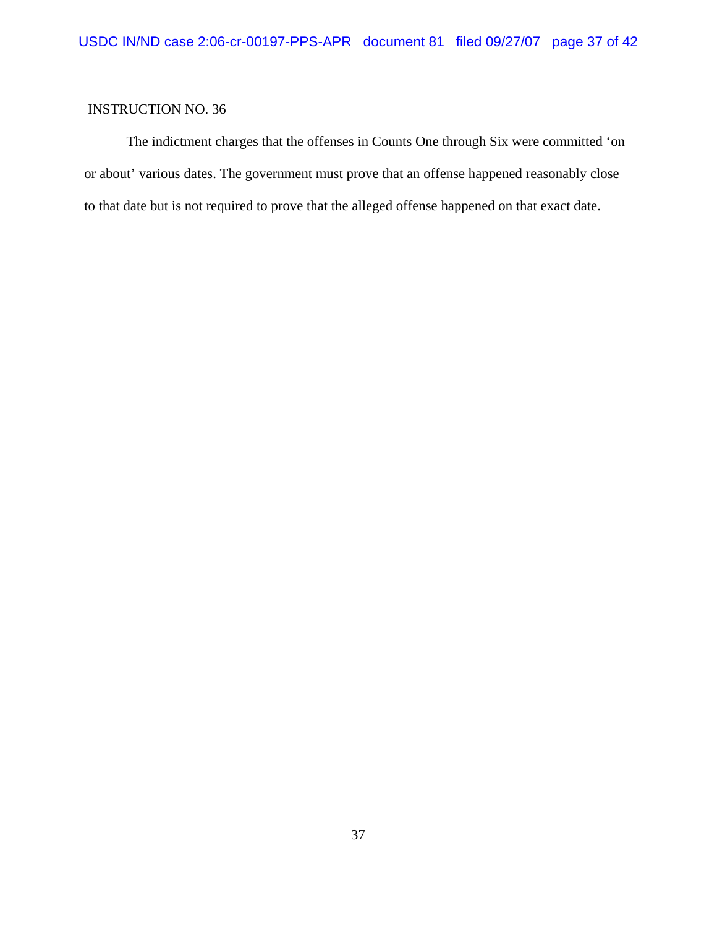The indictment charges that the offenses in Counts One through Six were committed 'on or about' various dates. The government must prove that an offense happened reasonably close to that date but is not required to prove that the alleged offense happened on that exact date.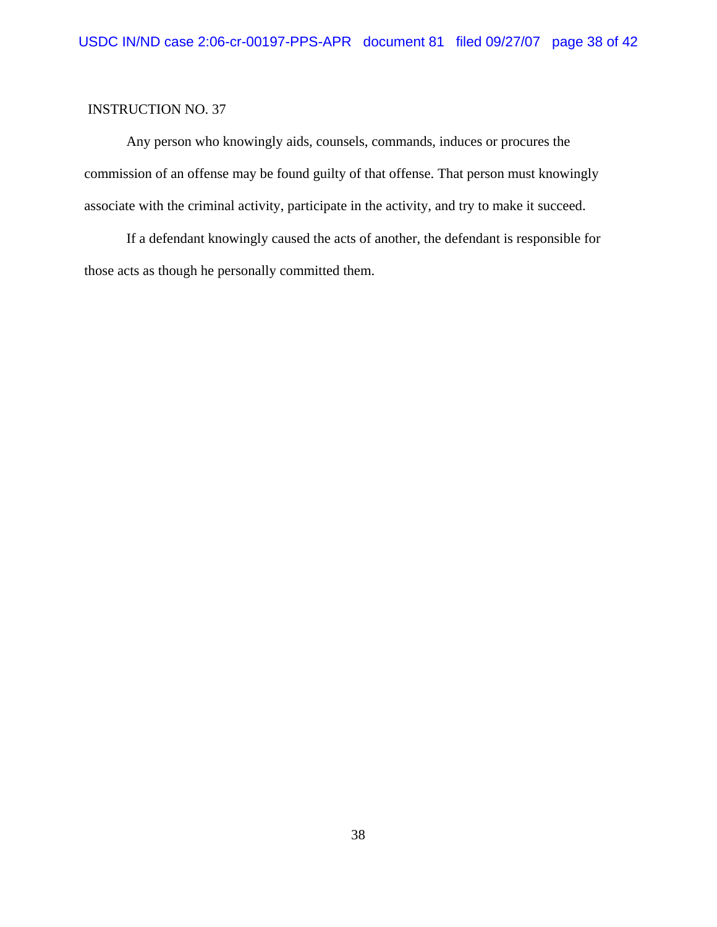Any person who knowingly aids, counsels, commands, induces or procures the commission of an offense may be found guilty of that offense. That person must knowingly associate with the criminal activity, participate in the activity, and try to make it succeed.

If a defendant knowingly caused the acts of another, the defendant is responsible for those acts as though he personally committed them.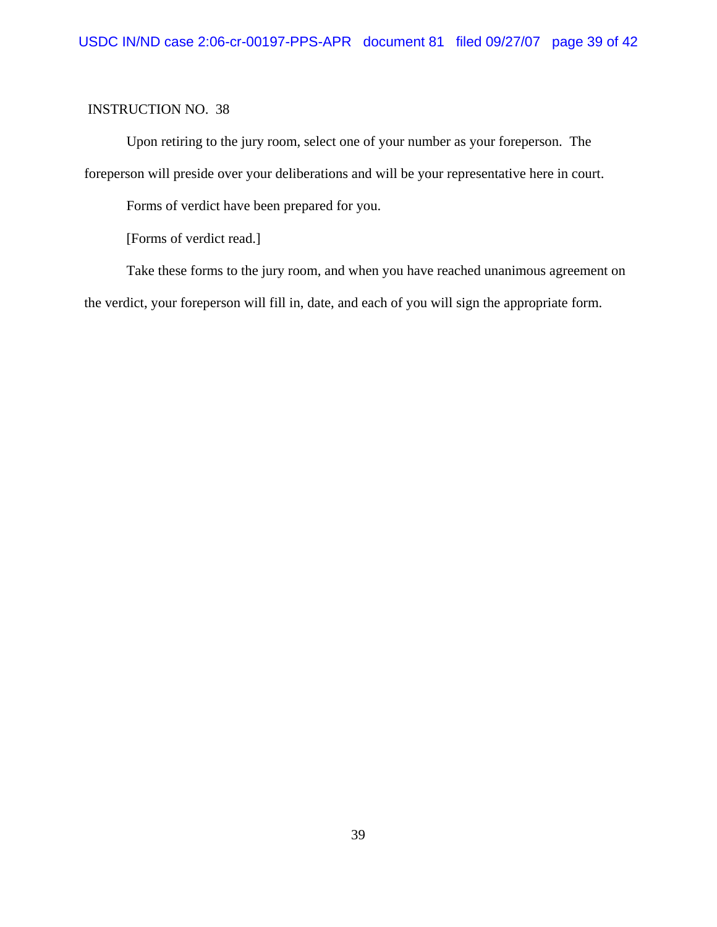Upon retiring to the jury room, select one of your number as your foreperson. The foreperson will preside over your deliberations and will be your representative here in court.

Forms of verdict have been prepared for you.

[Forms of verdict read.]

Take these forms to the jury room, and when you have reached unanimous agreement on the verdict, your foreperson will fill in, date, and each of you will sign the appropriate form.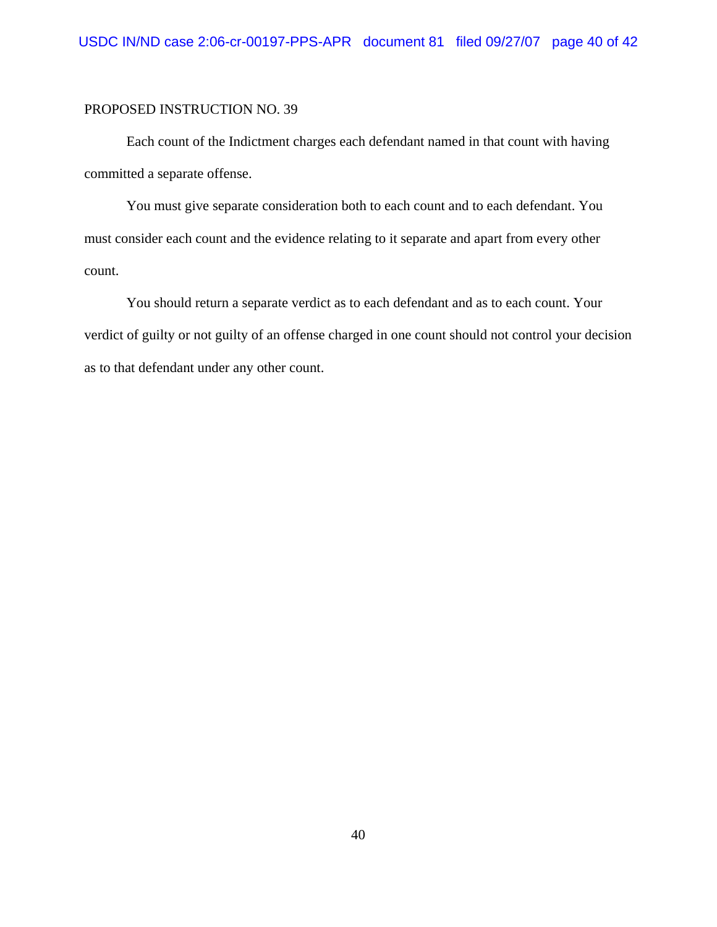### PROPOSED INSTRUCTION NO. 39

Each count of the Indictment charges each defendant named in that count with having committed a separate offense.

You must give separate consideration both to each count and to each defendant. You must consider each count and the evidence relating to it separate and apart from every other count.

You should return a separate verdict as to each defendant and as to each count. Your verdict of guilty or not guilty of an offense charged in one count should not control your decision as to that defendant under any other count.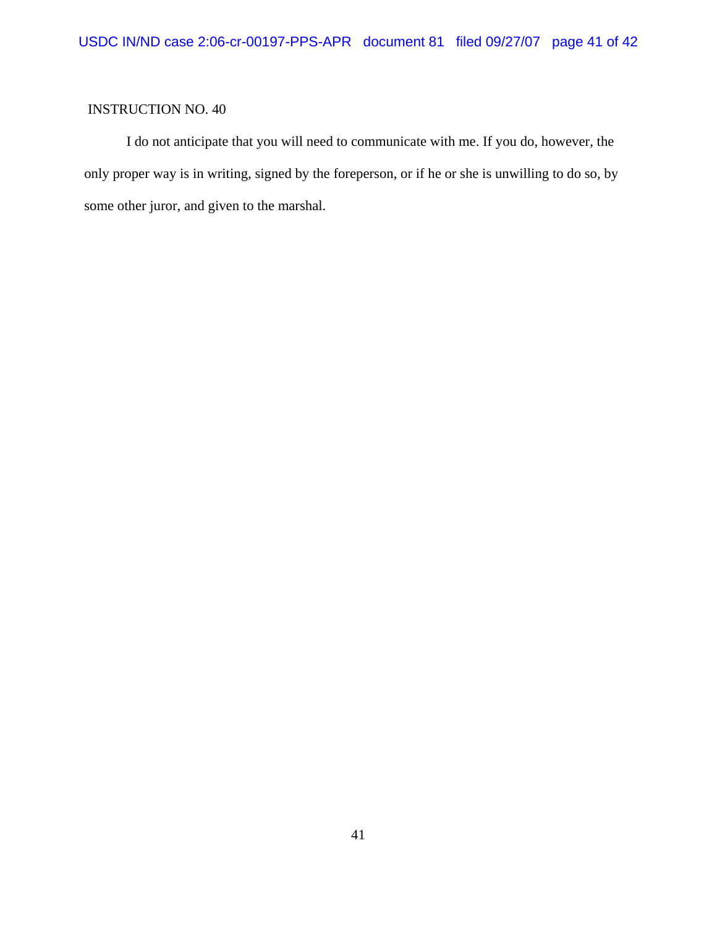I do not anticipate that you will need to communicate with me. If you do, however, the only proper way is in writing, signed by the foreperson, or if he or she is unwilling to do so, by some other juror, and given to the marshal.